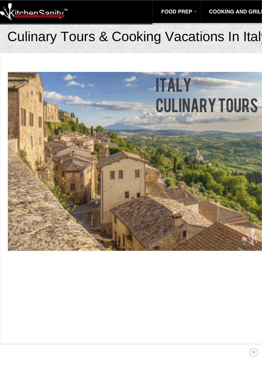### Culinary Tours & Cooking Vacations In Italy

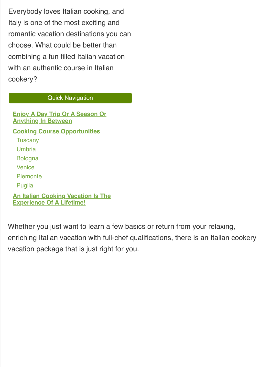Everybody loves Italian cooking, and Italy is one of the most exciting and romantic vacation destinations you can choose. What could be better than combining a fun filled Italian vacation with an authentic course in Italian cookery?

#### Quick Navigation

**Enjoy A Day Trip Or A Season Or Anything In Between Cooking Course Opportunities Tuscany Umbria Bologna Venice Piemonte Puglia An Italian Cooking Vacation Is The Experience Of A Lifetime!**

Whether you just want to learn a few basics or return from your relaxing, enriching Italian vacation with full-chef qualifications, there is an [Italian cookery](https://tuscookany.com/cooking/italian-cooking-vacations/) [vacation](https://https://tuscookany.com/cooking/italian-cooking-vacations/) package that is just right for you.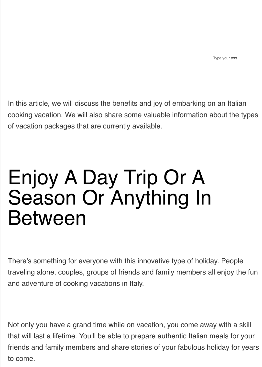In this article, we will discuss the benefits and joy of embarking on an [Italian](https:https://tuscookany.com/cooking/italian-cooking-vacations//example.com) [cooking vacation.](https://tuscookany.com/cooking/italian-cooking-vacations/) We will also share some valuable information about the types of vacation packages that are currently available.

## Enjoy A Day Trip Or A Season Or Anything In Between

There's something for everyone with this innovative type of holiday. People traveling alone, couples, groups of friends and family members all enjoy the fun and adventure of [cooking vacations in Italy.](https://tuscookany.com/cooking/cooking-vacations-in-italy/)

Not only you have a grand time while on vacation, you come away with a skill that will last a lifetime. You'll be able to prepare authentic Italian meals for your friends and family members and share stories of your fabulous holiday for years to come.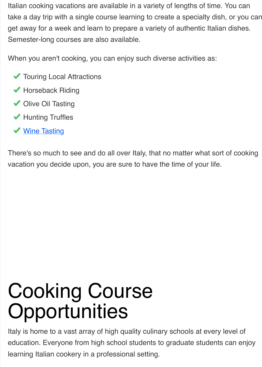[Italian cooking vacations](https://tuscookany.com/cooking/italian-cooking-vacations/) are available in a variety of lengths of time. You can take a day trip with a single course learning to create a specialty dish, or you can get away for a week and learn to prepare a variety of authentic Italian dishes. Semester-long courses are also available.

When you aren't cooking, you can enjoy such diverse activities as:

- **V** Touring Local Attractions
- ◆ Horseback Riding
- ◆ Olive Oil Tasting
- ◆ [Hunting Truffles](https://tuscookany.com/blog/truffles-in-torre-del-tartufo/)
- ◆ Wine Tasting

There's so much to see and do all over Italy, that no matter what sort of cooking vacation you decide upon, you are sure to have the time of your life.

# Cooking Course **Opportunities**

Italy is home to a vast array of high quality culinary schools at every level of education. Everyone from high school students to graduate students can enjoy learning Italian cookery in a professional setting.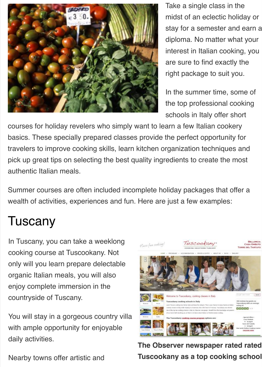

Take a single class in the midst of an eclectic holiday or stay for a semester and earn a diploma. No matter what your interest in Italian cooking, you are sure to find exactly the right package to suit you.

In the summer time, some of the top professional cooking schools in Italy offer short

courses for holiday revelers who simply want to learn a few Italian cookery basics. These specially prepared classes provide the perfect opportunity for travelers to improve cooking skills, learn kitchen organization techniques and pick up great tips on selecting the best quality ingredients to create the most authentic Italian meals.

Summer courses are often included incomplete holiday packages that offer a wealth of activities, experiences and fun. Here are just a few examples:

### Tuscany

In Tuscany, you can take a weeklong cooking course at Tuscookany. Not only will you learn prepare delectable organic Italian meals, you will also enjoy complete immersion in the countryside of Tuscany.

You will stay in a gorgeous country villa with ample opportunity for enjoyable daily activities.

Nearby towns offer artistic and



**The Observer newspaper rated rated Tuscookany as a top cooking school**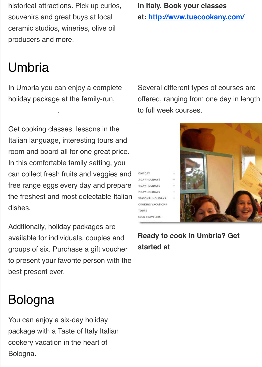historical attractions. Pick up curios, souvenirs and great buys at local ceramic studios, wineries, olive oil producers and more.

### Umbria

Cook in Umbria.

In Umbria you can enjoy a complete holiday package at the family-run,

Get cooking classes, lessons in the Italian language, interesting tours and room and board all for one great price. In this comfortable family setting, you can collect fresh fruits and veggies and free range eggs every day and prepare the freshest and most delectable Italian dishes.

Additionally, holiday packages are available for individuals, couples and groups of six. Purchase a gift voucher to present your favorite person with the best present ever.

### Bologna

You can enjoy a six-day holiday package with a Taste of Italy Italian cookery vacation in the heart of Bologna.

**in Italy. Book your classes**

**at: [http://www.tuscookany.com/](https://tuscookany.com)**

Several different types of courses are offered, ranging from one day in length to full week courses.

ONE DAY 3 DAY HOLIDAYS 4 DAY HOLIDAYS 7 DAY HOLIDAYS SEASONAL HOLIDAYS COOKING VACATIONS TOURS **SOLO TRAVELERS** 



**Ready to cook in Umbria? Get started at**